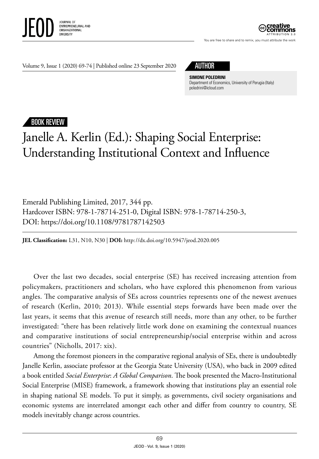



You are free to share and to remix, you must attribute the work

Volume 9, Issue 1 (2020) 69-74 | Published online 23 September 2020 AUTHOR



**SIMONE POLEDRINI** Department of Economics, University of Perugia (Italy) poledrini@icloud.com

## BOOK REVIEW

## Janelle A. Kerlin (Ed.): Shaping Social Enterprise: Understanding Institutional Context and Influence

Emerald Publishing Limited, 2017, 344 pp. Hardcover ISBN: 978-1-78714-251-0, Digital ISBN: 978-1-78714-250-3, DOI: https://doi.org/10.1108/9781787142503

**JEL Classification:** L31, N10, N30 | **DOI:** http: //dx.doi.org/10.5947/jeod.2020.005

Over the last two decades, social enterprise (SE) has received increasing attention from policymakers, practitioners and scholars, who have explored this phenomenon from various angles. The comparative analysis of SEs across countries represents one of the newest avenues of research (Kerlin, 2010; 2013). While essential steps forwards have been made over the last years, it seems that this avenue of research still needs, more than any other, to be further investigated: "there has been relatively little work done on examining the contextual nuances and comparative institutions of social entrepreneurship/social enterprise within and across countries" (Nicholls, 2017: xix).

Among the foremost pioneers in the comparative regional analysis of SEs, there is undoubtedly Janelle Kerlin, associate professor at the Georgia State University (USA), who back in 2009 edited a book entitled *Social Enterprise*: *A Global Comparison*. The book presented the Macro-Institutional Social Enterprise (MISE) framework, a framework showing that institutions play an essential role in shaping national SE models. To put it simply, as governments, civil society organisations and economic systems are interrelated amongst each other and differ from country to country, SE models inevitably change across countries.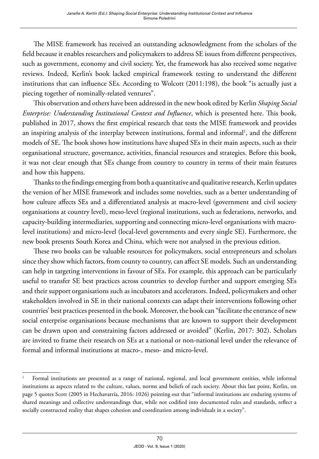The MISE framework has received an outstanding acknowledgment from the scholars of the field because it enables researchers and policymakers to address SE issues from different perspectives, such as government, economy and civil society. Yet, the framework has also received some negative reviews. Indeed, Kerlin's book lacked empirical framework testing to understand the different institutions that can influence SEs. According to Wolcott (2011:198), the book "is actually just a piecing together of nominally-related ventures".

This observation and others have been addressed in the new book edited by Kerlin *Shaping Social Enterprise: Understanding Institutional Context and Influence*, which is presented here. This book, published in 2017, shows the first empirical research that tests the MISE framework and provides an inspiring analysis of the interplay between institutions, formal and informal<sup>1</sup>, and the different models of SE. The book shows how institutions have shaped SEs in their main aspects, such as their organisational structure, governance, activities, financial resources and strategies. Before this book, it was not clear enough that SEs change from country to country in terms of their main features and how this happens.

Thanks to the findings emerging from both a quantitative and qualitative research, Kerlin updates the version of her MISE framework and includes some novelties, such as a better understanding of how culture affects SEs and a differentiated analysis at macro-level (government and civil society organisations at country level), meso-level (regional institutions, such as federations, networks, and capacity-building intermediaries, supporting and connecting micro-level organisations with macrolevel institutions) and micro-level (local-level governments and every single SE). Furthermore, the new book presents South Korea and China, which were not analysed in the previous edition.

These two books can be valuable resources for policymakers, social entrepreneurs and scholars since they show which factors, from county to country, can affect SE models. Such an understanding can help in targeting interventions in favour of SEs. For example, this approach can be particularly useful to transfer SE best practices across countries to develop further and support emerging SEs and their support organisations such as incubators and accelerators. Indeed, policymakers and other stakeholders involved in SE in their national contexts can adapt their interventions following other countries' best practices presented in the book. Moreover, the book can "facilitate the entrance of new social enterprise organisations because mechanisms that are known to support their development can be drawn upon and constraining factors addressed or avoided" (Kerlin, 2017: 302). Scholars are invited to frame their research on SEs at a national or non-national level under the relevance of formal and informal institutions at macro-, meso- and micro-level.

<sup>1</sup> Formal institutions are presented as a range of national, regional, and local government entities, while informal institutions as aspects related to the culture, values, norms and beliefs of each society. About this last point, Kerlin, on page 5 quotes Scott (2005 in Hechavarría, 2016: 1026) pointing out that "informal institutions are enduring systems of shared meanings and collective understandings that, while not codified into documented rules and standards, reflect a socially constructed reality that shapes cohesion and coordination among individuals in a society".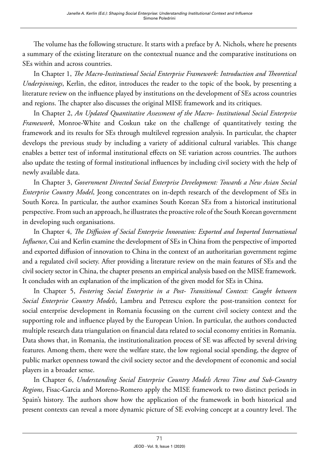The volume has the following structure. It starts with a preface by A. Nichols, where he presents a summary of the existing literature on the contextual nuance and the comparative institutions on SEs within and across countries.

In Chapter 1, *The Macro-Institutional Social Enterprise Framework: Introduction and Theoretical Underpinnings*, Kerlin, the editor, introduces the reader to the topic of the book, by presenting a literature review on the influence played by institutions on the development of SEs across countries and regions. The chapter also discusses the original MISE framework and its critiques.

In Chapter 2, *An Updated Quantitative Assessment of the Macro- Institutional Social Enterprise Framework*, Monroe-White and Coskun take on the challenge of quantitatively testing the framework and its results for SEs through multilevel regression analysis. In particular, the chapter develops the previous study by including a variety of additional cultural variables. This change enables a better test of informal institutional effects on SE variation across countries. The authors also update the testing of formal institutional influences by including civil society with the help of newly available data.

In Chapter 3, *Government Directed Social Enterprise Development: Towards a New Asian Social Enterprise Country Model*, Jeong concentrates on in-depth research of the development of SEs in South Korea. In particular, the author examines South Korean SEs from a historical institutional perspective. From such an approach, he illustrates the proactive role of the South Korean government in developing such organisations.

In Chapter 4, *The Diffusion of Social Enterprise Innovation: Exported and Imported International Influence*, Cui and Kerlin examine the development of SEs in China from the perspective of imported and exported diffusion of innovation to China in the context of an authoritarian government regime and a regulated civil society. After providing a literature review on the main features of SEs and the civil society sector in China, the chapter presents an empirical analysis based on the MISE framework. It concludes with an explanation of the implication of the given model for SEs in China.

In Chapter 5, *Fostering Social Enterprise in a Post- Transitional Context: Caught between Social Enterprise Country Models*, Lambru and Petrescu explore the post-transition context for social enterprise development in Romania focussing on the current civil society context and the supporting role and influence played by the European Union. In particular, the authors conducted multiple research data triangulation on financial data related to social economy entities in Romania. Data shows that, in Romania, the institutionalization process of SE was affected by several driving features. Among them, there were the welfare state, the low regional social spending, the degree of public market openness toward the civil society sector and the development of economic and social players in a broader sense.

In Chapter 6, *Understanding Social Enterprise Country Models Across Time and Sub-Country Regions*, Fisac-Garcia and Moreno-Romero apply the MISE framework to two distinct periods in Spain's history. The authors show how the application of the framework in both historical and present contexts can reveal a more dynamic picture of SE evolving concept at a country level. The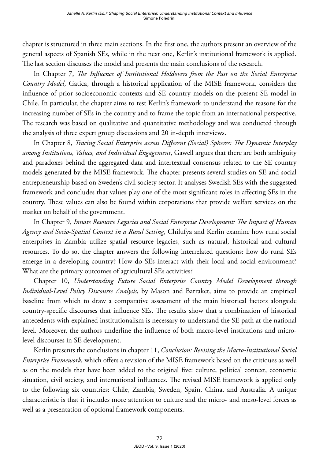chapter is structured in three main sections. In the first one, the authors present an overview of the general aspects of Spanish SEs, while in the next one, Kerlin's institutional framework is applied. The last section discusses the model and presents the main conclusions of the research.

In Chapter 7, *The Influence of Institutional Holdovers from the Past on the Social Enterprise Country Model*, Gatica, through a historical application of the MISE framework, considers the influence of prior socioeconomic contexts and SE country models on the present SE model in Chile. In particular, the chapter aims to test Kerlin's framework to understand the reasons for the increasing number of SEs in the country and to frame the topic from an international perspective. The research was based on qualitative and quantitative methodology and was conducted through the analysis of three expert group discussions and 20 in-depth interviews.

In Chapter 8, *Tracing Social Enterprise across Different (Social) Spheres: The Dynamic Interplay among Institutions, Values, and Individual Engagement*, Gawell argues that there are both ambiguity and paradoxes behind the aggregated data and intertextual consensus related to the SE country models generated by the MISE framework. The chapter presents several studies on SE and social entrepreneurship based on Sweden's civil society sector. It analyses Swedish SEs with the suggested framework and concludes that values play one of the most significant roles in affecting SEs in the country. These values can also be found within corporations that provide welfare services on the market on behalf of the government.

In Chapter 9, *Innate Resource Legacies and Social Enterprise Development: The Impact of Human Agency and Socio-Spatial Context in a Rural Setting*, Chilufya and Kerlin examine how rural social enterprises in Zambia utilize spatial resource legacies, such as natural, historical and cultural resources. To do so, the chapter answers the following interrelated questions: how do rural SEs emerge in a developing country? How do SEs interact with their local and social environment? What are the primary outcomes of agricultural SEs activities?

Chapter 10, *Understanding Future Social Enterprise Country Model Development through Individual-Level Policy Discourse Analysis*, by Mason and Barraket, aims to provide an empirical baseline from which to draw a comparative assessment of the main historical factors alongside country-specific discourses that influence SEs. The results show that a combination of historical antecedents with explained institutionalism is necessary to understand the SE path at the national level. Moreover, the authors underline the influence of both macro-level institutions and microlevel discourses in SE development.

Kerlin presents the conclusions in chapter 11, *Conclusion: Revising the Macro-Institutional Social Enterprise Framework,* which offers a revision of the MISE framework based on the critiques as well as on the models that have been added to the original five: culture, political context, economic situation, civil society, and international influences. The revised MISE framework is applied only to the following six countries: Chile, Zambia, Sweden, Spain, China, and Australia. A unique characteristic is that it includes more attention to culture and the micro- and meso-level forces as well as a presentation of optional framework components.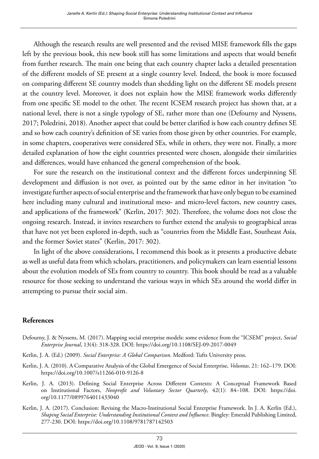Although the research results are well presented and the revised MISE framework fills the gaps left by the previous book, this new book still has some limitations and aspects that would benefit from further research. The main one being that each country chapter lacks a detailed presentation of the different models of SE present at a single country level. Indeed, the book is more focussed on comparing different SE country models than shedding light on the different SE models present at the country level. Moreover, it does not explain how the MISE framework works differently from one specific SE model to the other. The recent ICSEM research project has shown that, at a national level, there is not a single typology of SE, rather more than one (Defourny and Nyssens, 2017; Poledrini, 2018). Another aspect that could be better clarified is how each country defines SE and so how each country's definition of SE varies from those given by other countries. For example, in some chapters, cooperatives were considered SEs, while in others, they were not. Finally, a more detailed explanation of how the eight countries presented were chosen, alongside their similarities and differences, would have enhanced the general comprehension of the book.

For sure the research on the institutional context and the different forces underpinning SE development and diffusion is not over, as pointed out by the same editor in her invitation "to investigate further aspects of social enterprise and the framework that have only begun to be examined here including many cultural and institutional meso- and micro-level factors, new country cases, and applications of the framework" (Kerlin, 2017: 302). Therefore, the volume does not close the ongoing research. Instead, it invites researchers to further extend the analysis to geographical areas that have not yet been explored in-depth, such as "countries from the Middle East, Southeast Asia, and the former Soviet states" (Kerlin, 2017: 302).

In light of the above considerations, I recommend this book as it presents a productive debate as well as useful data from which scholars, practitioners, and policymakers can learn essential lessons about the evolution models of SEs from country to country. This book should be read as a valuable resource for those seeking to understand the various ways in which SEs around the world differ in attempting to pursue their social aim.

## **References**

- Defourny, J. & Nyssens, M. (2017). Mapping social enterprise models: some evidence from the "ICSEM" project, *Social Enterprise Journal*, 13(4): 318-328. DOI: <https://doi.org/10.1108/SEJ-09-2017-0049>
- Kerlin, J. A. (Ed.) (2009). *Social Enterprise: A Global Comparison*. Medford: Tufts University press.
- Kerlin, J. A. (2010). A Comparative Analysis of the Global Emergence of Social Enterprise, *Voluntas*, 21: 162–179. DOI: <https://doi.org/10.1007/s11266-010-9126-8>
- Kerlin, J. A. (2013). Defining Social Enterprise Across Different Contexts: A Conceptual Framework Based on Institutional Factors, *Nonprofit and Voluntary Sector Quarterly*, 42(1): 84–108. DOI: [https://doi.](https://doi.org/10.1177/0899764011433040) [org/10.1177/0899764011433040](https://doi.org/10.1177/0899764011433040)
- Kerlin, J. A. (2017). Conclusion: Revising the Macro-Institutional Social Enterprise Framework. In J. A. Kerlin (Ed.), *Shaping Social Enterprise: Understanding Institutional Context and Influence*. Bingley: Emerald Publishing Limited, 277-230. DOI:<https://doi.org/10.1108/9781787142503>